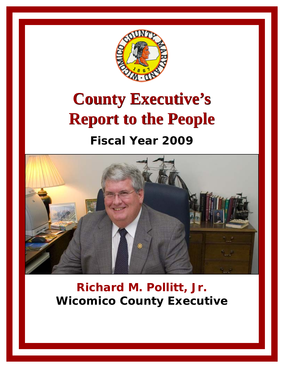

# **County Executive's County Executive's Report to the People Report to the People**

### **Fiscal Year 2009**



### **Richard M. Pollitt, Jr. Wicomico County Executive**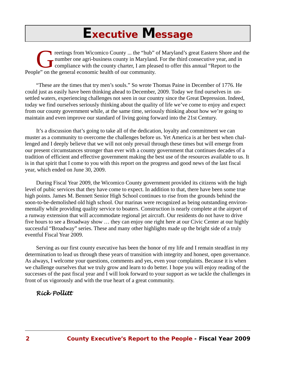### *Executive Message*

reetings from Wicomico County ... the "hub" of Maryland's great Eastern Shore and the number one agri-business county in Maryland. For the third consecutive year, and in compliance with the county charter, I am pleased to number one agri-business county in Maryland. For the third consecutive year, and in compliance with the county charter, I am pleased to offer this annual "Report to the People" on the general economic health of our community.

"These are the times that try men's souls." So wrote Thomas Paine in December of 1776. He could just as easily have been thinking ahead to December, 2009. Today we find ourselves in unsettled waters, experiencing challenges not seen in our country since the Great Depression. Indeed, today we find ourselves seriously thinking about the quality of life we've come to enjoy and expect from our county government while, at the same time, seriously thinking about how we're going to maintain and even improve our standard of living going forward into the 21st Century.

It's a discussion that's going to take all of the dedication, loyalty and commitment we can muster as a community to overcome the challenges before us. Yet America is at her best when challenged and I deeply believe that we will not only prevail through these times but will emerge from our present circumstances stronger than ever with a county government that continues decades of a tradition of efficient and effective government making the best use of the resources available to us. It is in that spirit that I come to you with this report on the progress and good news of the last fiscal year, which ended on June 30, 2009.

During Fiscal Year 2009, the Wicomico County government provided its citizens with the high level of pubic services that they have come to expect. In addition to that, there have been some true high points. James M. Bennett Senior High School continues to rise from the grounds behind the soon-to-be-demolished old high school. Our marinas were recognized as being outstanding environmentally while providing quality service to boaters. Construction is nearly complete at the airport of a runway extension that will accommodate regional jet aircraft. Our residents do not have to drive five hours to see a Broadway show … they can enjoy one right here at our Civic Center at our highly successful "Broadway" series. These and many other highlights made up the bright side of a truly eventful Fiscal Year 2009.

Serving as our first county executive has been the honor of my life and I remain steadfast in my determination to lead us through these years of transition with integrity and honest, open governance. As always, I welcome your questions, comments and yes, even your complaints. Because it is when we challenge ourselves that we truly grow and learn to do better. I hope you will enjoy reading of the successes of the past fiscal year and I will look forward to your support as we tackle the challenges in front of us vigorously and with the true heart of a great community.

#### *Rick Pollitt*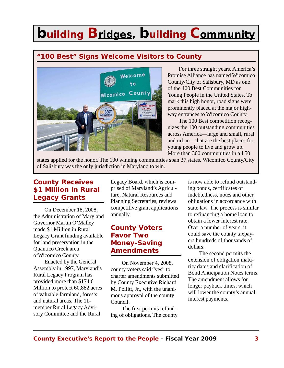### **"100 Best" Signs Welcome Visitors to County**



For three straight years, America's Promise Alliance has named Wicomico County/City of Salisbury, MD as one of the 100 Best Communities for Young People in the United States. To mark this high honor, road signs were prominently placed at the major highway entrances to Wicomico County.

The 100 Best competition recognizes the 100 outstanding communities across America—large and small, rural and urban—that are the best places for young people to live and grow up. More than 300 communities in all 50

states applied for the honor. The 100 winning communities span 37 states. Wicomico County/City of Salisbury was the only jurisdiction in Maryland to win.

### **County Receives \$1 Million in Rural Legacy Grants**

On December 18, 2008, the Administration of Maryland Governor Martin O'Malley made \$1 Million in Rural Legacy Grant funding available for land preservation in the Quantico Creek area ofWicomico County.

Enacted by the General Assembly in 1997, Maryland's Rural Legacy Program has provided more than \$174.6 Million to protect 60,882 acres of valuable farmland, forests and natural areas. The 11 member Rural Legacy Advisory Committee and the Rural

Legacy Board, which is comprised of Maryland's Agriculture, Natural Resources and Planning Secretaries, reviews competitive grant applications annually.

#### **County Voters Favor Two Money-Saving Amendments**

On November 4, 2008, county voters said "yes" to charter amendments submitted by County Executive Richard M. Pollitt, Jr., with the unanimous approval of the county Council.

The first permits refunding of obligations. The county is now able to refund outstanding bonds, certificates of indebtedness, notes and other obligations in accordance with state law. The process is similar to refinancing a home loan to obtain a lower interest rate. Over a number of years, it could save the county taxpayers hundreds of thousands of dollars.

The second permits the extension of obligation maturity dates and clarification of Bond Anticipation Notes terms. The amendment allows for longer payback times, which will lower the county's annual interest payments.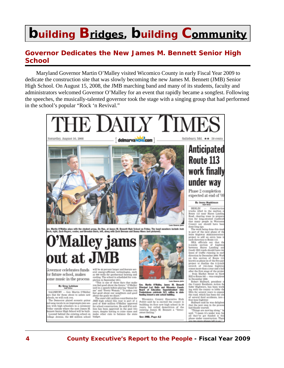#### **Governor Dedicates the New James M. Bennett Senior High School**

Maryland Governor Martin O'Malley visited Wicomico County in early Fiscal Year 2009 to dedicate the construction site that was slowly becoming the new James M. Bennett (JMB) Senior High School. On August 15, 2008, the JMB marching band and many of its students, faculty and administrators welcomed Governor O'Malley for an event that rapidly became a songfest. Following the speeches, the musically-talented governor took the stage with a singing group that had performed in the school's popular "Rock 'n Revival."

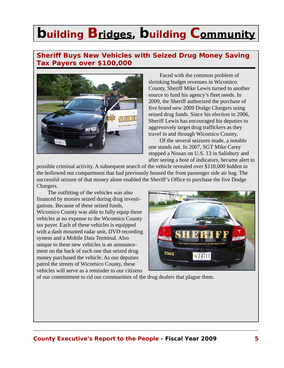#### **Sheriff Buys New Vehicles with Seized Drug Money Saving Tax Payers over \$100,000**



Faced with the common problem of shrinking budget revenues in Wicomico County, Sheriff Mike Lewis turned to another source to fund his agency's fleet needs. In 2009, the Sheriff authorized the purchase of five brand new 2009 Dodge Chargers using seized drug funds. Since his election in 2006, Sheriff Lewis has encouraged his deputies to aggressively target drug traffickers as they travel in and through Wicomico County.

Of the several seizures made, a notable one stands out. In 2007, SGT Mike Carey stopped a Nissan on U.S. 13 in Salisbury and after seeing a host of indicators, became alert to

possible criminal activity. A subsequent search of the vehicle revealed over \$110,000 hidden in the hollowed out compartment that had previously housed the front passenger side air bag. The successful seizure of that money alone enabled the Sheriff's Office to purchase the five Dodge Chargers.

The outfitting of the vehicles was also financed by monies seized during drug investigations. Because of these seized funds, Wicomico County was able to fully equip these vehicles at no expense to the Wicomico County tax payer. Each of these vehicles is equipped with a dash mounted radar unit, DVD recording system and a Mobile Data Terminal. Also unique to these new vehicles is an announcement on the back of each one that seized drug money purchased the vehicle. As our deputies patrol the streets of Wicomico County, these vehicles will serve as a reminder to our citizens



of our commitment to rid our communities of the drug dealers that plague them.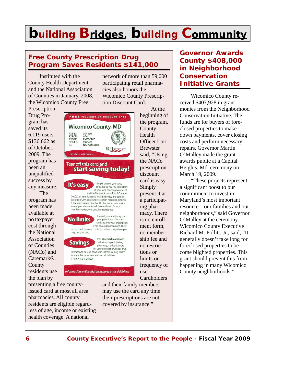#### **Free County Prescription Drug Program Saves Residents \$141,000**

Instituted with the County Health Department and the National Association of Counties in January, 2008, the Wicomico County Free

**Prescription** Drug Program has saved its 6,119 users \$136,662 as of October, 2009. The program has been an unqualified success by any measure. The program has been made available at no taxpayer cost through the National Association of Counties (NACo) and Caremark®. **County** residents use the plan by



presenting a free countyissued card at most all area pharmacies. All county residents are eligible regardless of age, income or existing health coverage. A national

and their family members may use the card any time their prescriptions are not covered by insurance."

network of more than 59,000 participating retail pharmacies also honors the Wicomico County Prescription Discount Card. At the

beginning of the program, County Health Officer Lori Brewster said, "Using the NACo prescription discount card is easy. Simply present it at a participating pharmacy. There is no enrollment form, no membership fee and no restrictions or limits on frequency of use. **Cardholders** 

#### **Governor Awards County \$408,000 in Neighborhood Conservation Initiative Grants**

Wicomico County received \$407,928 in grant monies from the Neighborhood Conservation Initiative. The funds are for buyers of foreclosed properties to make down payments, cover closing costs and perform necessary repairs. Governor Martin O'Malley made the grant awards public at a Capital Heights, Md. ceremony on March 19, 2009.

"These projects represent a significant boost to our commitment to invest in Maryland's most important resource – our families and our neighborhoods," said Governor O'Malley at the ceremony. Wicomico County Executive Richard M. Pollitt, Jr., said, "It generally doesn't take long for foreclosed properties to become blighted properties. This grant should prevent this from happening in many Wicomico County neighborhoods."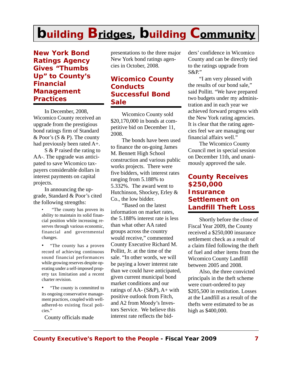**New York Bond Ratings Agency Gives "Thumbs Up" to County's Financial Management Practices**

In December, 2008, Wicomico County received an upgrade from the prestigious bond ratings firm of Standard & Poor's (S & P). The county had previously been rated A+.

S & P raised the rating to AA-. The upgrade was anticipated to save Wicomico taxpayers considerable dollars in interest payments on capital projects.

In announcing the upgrade, Standard & Poor's cited the following strengths:

> • "The county has proven its ability to maintain its solid financial position while increasing reserves through various economic, financial and governmental changes.

> • "The county has a proven record of achieving continuous sound financial performances while growing reserves despite operating under a self-imposed property tax limitation and a recent charter revision.

> • "The county is committed to its ongoing conservative management practices, coupled with welladhered-to existing fiscal policies."

County officials made

presentations to the three major New York bond ratings agencies in October, 2008.

#### **Wicomico County Conducts Successful Bond Sale**

Wicomico County sold \$20,170,000 in bonds at competitive bid on December 11, 2008.

The bonds have been used to finance the on-going James M. Bennett High School construction and various public works projects. There were five bidders, with interest rates ranging from 5.188% to 5.332%. The award went to Hutchinson, Shockey, Erley & Co., the low bidder.

"Based on the latest information on market rates, the 5.188% interest rate is less than what other AA rated groups across the country would receive," commented County Executive Richard M. Pollitt, Jr. at the time of the sale. "In other words, we will be paying a lower interest rate than we could have anticipated, given current municipal bond market conditions and our ratings of AA-  $(S\&P)$ , A+ with positive outlook from Fitch, and A2 from Moody's Investors Service. We believe this interest rate reflects the bidders' confidence in Wicomico County and can be directly tied to the ratings upgrade from S&P."

"I am very pleased with the results of our bond sale," said Pollitt. "We have prepared two budgets under my administration and in each year we achieved forward progress with the New York rating agencies. It is clear that the rating agencies feel we are managing our financial affairs well."

The Wicomico County Council met in special session on December 11th, and unanimously approved the sale.

#### **County Receives \$250,000 Insurance Settlement on Landfill Theft Loss**

Shortly before the close of Fiscal Year 2009, the County received a \$250,000 insurance settlement check as a result of a claim filed following the theft of fuel and other items from the Wicomico County Landfill between 2005 and 2008.

Also, the three convicted principals in the theft scheme were court-ordered to pay \$205,500 in restitution. Losses at the Landfill as a result of the thefts were estimated to be as high as \$400,000.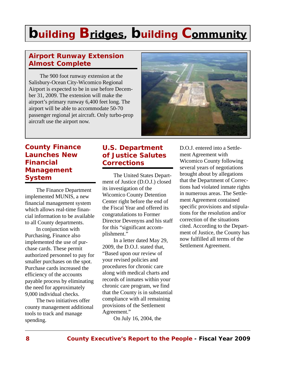### **Airport Runway Extension Almost Complete**

The 900 foot runway extension at the Salisbury-Ocean City-Wicomico Regional Airport is expected to be in use before December 31, 2009. The extension will make the airport's primary runway 6,400 feet long. The airport will be able to accommodate 50-70 passenger regional jet aircraft. Only turbo-prop aircraft use the airport now.



#### **County Finance Launches New Financial Management System**

The Finance Department implemented MUNIS, a new financial management system which allows real-time financial information to be available to all County departments.

In conjunction with Purchasing, Finance also implemented the use of purchase cards. These permit authorized personnel to pay for smaller purchases on the spot. Purchase cards increased the efficiency of the accounts payable process by eliminating the need for approximately 9,000 individual checks.

The two initiatives offer county management additional tools to track and manage spending.

#### **U.S. Department of Justice Salutes Corrections**

The United States Department of Justice (D.O.J.) closed its investigation of the Wicomico County Detention Center right before the end of the Fiscal Year and offered its congratulations to Former Director Devenyns and his staff for this "significant accomplishment."

In a letter dated May 29, 2009, the D.O.J. stated that, "Based upon our review of your revised policies and procedures for chronic care along with medical charts and records of inmates within your chronic care program, we find that the County is in substantial compliance with all remaining provisions of the Settlement Agreement."

On July 16, 2004, the

D.O.J. entered into a Settlement Agreement with Wicomico County following several years of negotiations brought about by allegations that the Department of Corrections had violated inmate rights in numerous areas. The Settlement Agreement contained specific provisions and stipulations for the resolution and/or correction of the situations cited. According to the Department of Justice, the County has now fulfilled all terms of the Settlement Agreement.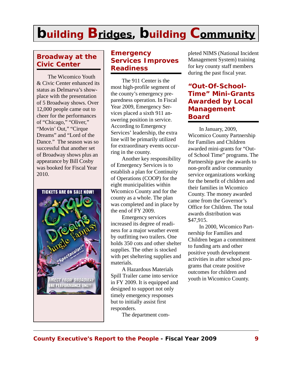### **Broadway at the Civic Center**

The Wicomico Youth & Civic Center enhanced its status as Delmarva's showplace with the presentation of 5 Broadway shows. Over 12,000 people came out to cheer for the performances of "Chicago," "Oliver," "Movin' Out," "Cirque Dreams" and "Lord of the Dance." The season was so successful that another set of Broadway shows plus an appearance by Bill Cosby was booked for Fiscal Year 2010.



#### **Emergency Services Improves Readiness**

The 911 Center is the most high-profile segment of the county's emergency preparedness operation. In Fiscal Year 2009, Emergency Services placed a sixth 911 answering position in service. According to Emergency Services' leadership, the extra line will be primarily utilized for extraordinary events occurring in the county.

Another key responsibility of Emergency Services is to establish a plan for Continuity of Operations (COOP) for the eight municipalities within Wicomico County and for the county as a whole. The plan was completed and in place by the end of FY 2009.

Emergency services increased its degree of readiness for a major weather event by outfitting two trailers. One holds 350 cots and other shelter supplies. The other is stocked with pet sheltering supplies and materials.

A Hazardous Materials Spill Trailer came into service in FY 2009. It is equipped and designed to support not only timely emergency responses but to initially assist first responders.

The department com-

pleted NIMS (National Incident Management System) training for key county staff members during the past fiscal year.

#### **"Out-Of-School-Time" Mini-Grants Awarded by Local Management Board**

In January, 2009, Wicomico County Partnership for Families and Children awarded mini-grants for "Outof School Time" programs. The Partnership gave the awards to non-profit and/or community service organizations working for the benefit of children and their families in Wicomico County. The money awarded came from the Governor's Office for Children. The total awards distribution was \$47,915.

In 2000, Wicomico Partnership for Families and Children began a commitment to funding arts and other positive youth development activities in after school programs that create positive outcomes for children and youth in Wicomico County.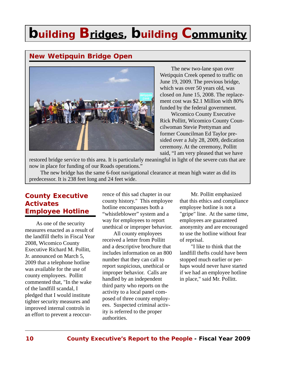### **New Wetipquin Bridge Open**



The new two-lane span over Wetipquin Creek opened to traffic on June 19, 2009. The previous bridge, which was over 50 years old, was closed on June 15, 2008. The replacement cost was \$2.1 Million with 80% funded by the federal government.

Wicomico County Executive Rick Pollitt, Wicomico County Councilwoman Stevie Prettyman and former Councilman Ed Taylor presided over a July 28, 2009, dedication ceremony. At the ceremony, Pollitt said, "I am very pleased that we have

restored bridge service to this area. It is particularly meaningful in light of the severe cuts that are now in place for funding of our Roads operations."

The new bridge has the same 6-foot navigational clearance at mean high water as did its predecessor. It is 238 feet long and 24 feet wide.

#### **County Executive Activates Employee Hotline**

As one of the security measures enacted as a result of the landfill thefts in Fiscal Year 2008, Wicomico County Executive Richard M. Pollitt, Jr. announced on March 5, 2009 that a telephone hotline was available for the use of county employees. Pollitt commented that, "In the wake of the landfill scandal, I pledged that I would institute tighter security measures and improved internal controls in an effort to prevent a reoccur-

rence of this sad chapter in our county history." This employee hotline encompasses both a "whistleblower" system and a way for employees to report unethical or improper behavior.

All county employees received a letter from Pollitt and a descriptive brochure that includes information on an 800 number that they can call to report suspicious, unethical or improper behavior. Calls are handled by an independent third party who reports on the activity to a local panel composed of three county employees. Suspected criminal activity is referred to the proper authorities.

Mr. Pollitt emphasized that this ethics and compliance employee hotline is not a "gripe" line. At the same time, employees are guaranteed anonymity and are encouraged to use the hotline without fear of reprisal.

"I like to think that the landfill thefts could have been stopped much earlier or perhaps would never have started if we had an employee hotline in place," said Mr. Pollitt.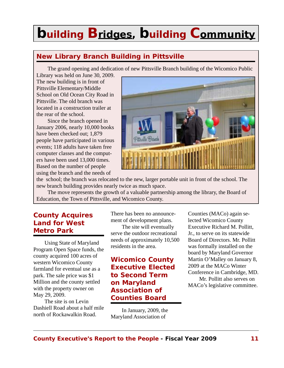### **New Library Branch Building in Pittsville**

The grand opening and dedication of new Pittsville Branch building of the Wicomico Public

Library was held on June 30, 2009. The new building is in front of Pittsville Elementary/Middle School on Old Ocean City Road in Pittsville. The old branch was located in a construction trailer at the rear of the school.

Since the branch opened in January 2006, nearly 10,000 books have been checked out; 1,879 people have participated in various events; 118 adults have taken free computer classes and the computers have been used 13,000 times. Based on the number of people using the branch and the needs of



the school; the branch was relocated to the new, larger portable unit in front of the school. The new branch building provides nearly twice as much space.

The move represents the growth of a valuable partnership among the library, the Board of Education, the Town of Pittsville, and Wicomico County.

#### **County Acquires Land for West Metro Park**

Using State of Maryland Program Open Space funds, the county acquired 100 acres of western Wicomico County farmland for eventual use as a park. The sale price was \$1 Million and the county settled with the property owner on May 29, 2009.

The site is on Levin Dashiell Road about a half mile north of Rockawalkin Road.

There has been no announcement of development plans.

The site will eventually serve the outdoor recreational needs of approximately 10,500 residents in the area.

#### **Wicomico County Executive Elected to Second Term on Maryland Association of Counties Board**

In January, 2009, the Maryland Association of

Counties (MACo) again selected Wicomico County Executive Richard M. Pollitt, Jr., to serve on its statewide Board of Directors. Mr. Pollitt was formally installed on the board by Maryland Governor Martin O'Malley on January 8, 2009 at the MACo Winter Conference in Cambridge, MD. Mr. Pollitt also serves on MACo's legislative committee.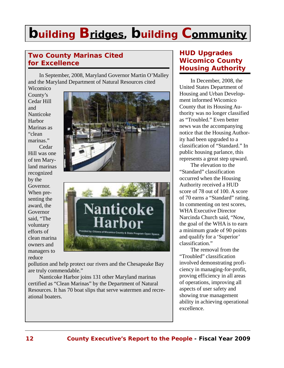### **Two County Marinas Cited for Excellence**

In September, 2008, Maryland Governor Martin O'Malley and the Maryland Department of Natural Resources cited Wicomico

County's Cedar Hill and Nanticoke Harbor Marinas as "clean marinas."

Cedar Hill was one of ten Maryland marinas recognized by the Governor. When presenting the award, the Governor said, "The voluntary efforts of clean marina owners and managers to reduce





pollution and help protect our rivers and the Chesapeake Bay are truly commendable."

Nanticoke Harbor joins 131 other Maryland marinas certified as "Clean Marinas" by the Department of Natural Resources. It has 70 boat slips that serve watermen and recreational boaters.

#### **HUD Upgrades Wicomico County Housing Authority**

In December, 2008, the United States Department of Housing and Urban Development informed Wicomico County that its Housing Authority was no longer classified as "Troubled." Even better news was the accompanying notice that the Housing Authority had been upgraded to a classification of "Standard." In public housing parlance, this represents a great step upward.

The elevation to the "Standard" classification occurred when the Housing Authority received a HUD score of 78 out of 100. A score of 70 earns a "Standard" rating. In commenting on test scores, WHA Executive Director Narcinda Church said, "Now, the goal of the WHA is to earn a minimum grade of 90 points and qualify for a 'Superior' classification."

The removal from the "Troubled" classification involved demonstrating proficiency in managing-for-profit, proving efficiency in all areas of operations, improving all aspects of user safety and showing true management ability in achieving operational excellence.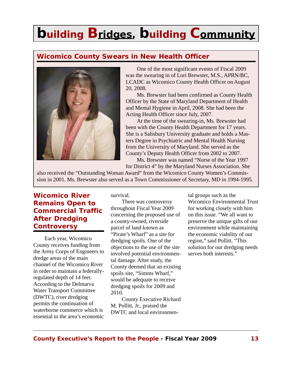### **Wicomico County Swears in New Health Officer**



One of the most significant events of Fiscal 2009 was the swearing in of Lori Brewster, M.S., APRN/BC, LCADC as Wicomico County Health Officer on August 20, 2008.

Ms. Brewster had been confirmed as County Health Officer by the State of Maryland Department of Health and Mental Hygiene in April, 2008. She had been the Acting Health Officer since July, 2007.

At the time of the swearing-in, Ms. Brewster had been with the County Health Department for 17 years. She is a Salisbury University graduate and holds a Masters Degree in Psychiatric and Mental Health Nursing from the University of Maryland. She served as the County's Deputy Health Officer from 2002 to 2007.

Ms. Brewster was named "Nurse of the Year 1997 for District 4" by the Maryland Nurses Association. She

also received the "Outstanding Woman Award" from the Wicomico County Women's Commission in 2001. Ms. Brewster also served as a Town Commissioner of Secretary, MD in 1994-1995.

#### **Wicomico River Remains Open to Commercial Traffic After Dredging Controversy**

Each year, Wicomico County receives funding from the Army Corps of Engineers to dredge areas of the main channel of the Wicomico River in order to maintain a federallyregulated depth of 14 feet. According to the Delmarva Water Transport Committee (DWTC), river dredging permits the continuation of waterborne commerce which is essential to the area's economic

survival.

There was controversy throughout Fiscal Year 2009 concerning the proposed use of a county-owned, riverside parcel of land known as "Pirate's Wharf" as a site for dredging spoils. One of the objections to the use of the site involved potential environmental damage. After study, the County deemed that an existing spoils site, "Simms Wharf," would be adequate to receive dredging spoils for 2009 and 2010.

County Executive Richard M. Pollitt, Jr., praised the DWTC and local environmental groups such as the Wicomico Environmental Trust for working closely with him on this issue. "We all want to preserve the unique gifts of our environment while maintaining the economic viability of our region," said Pollitt. "This solution for our dredging needs serves both interests."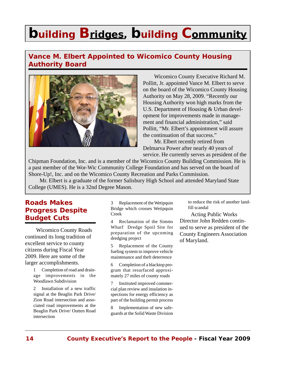### **Vance M. Elbert Appointed to Wicomico County Housing Authority Board**



Wicomico County Executive Richard M. Pollitt, Jr. appointed Vance M. Elbert to serve on the board of the Wicomico County Housing Authority on May 28, 2009. "Recently our Housing Authority won high marks from the U.S. Department of Housing & Urban development for improvements made in management and financial administration," said Pollitt, "Mr. Elbert's appointment will assure the continuation of that success."

Mr. Elbert recently retired from Delmarva Power after nearly 40 years of service. He currently serves as president of the

Chipman Foundation, Inc. and is a member of the Wicomico County Building Commission. He is a past member of the Wor-Wic Community College Foundation and has served on the board of Shore-Up!, Inc. and on the Wicomico County Recreation and Parks Commission.

Mr. Elbert is a graduate of the former Salisbury High School and attended Maryland State College (UMES). He is a 32nd Degree Mason.

#### **Roads Makes Progress Despite Budget Cuts**

Wicomico County Roads continued its long tradition of excellent service to county citizens during Fiscal Year 2009. Here are some of the larger accomplishments.

> 1 Completion of road and drainage improvements in the Woodlawn Subdivision

> 2 Installation of a new traffic signal at the Beaglin Park Drive/ Zion Road intersection and associated road improvements at the Beaglin Park Drive/ Outten Road intersection

3 Replacement of the Wetipquin Bridge which crosses Wetipquin Creek

4 Reclamation of the Simms Wharf Dredge Spoil Site for preparation of the upcoming dredging project

5 Replacement of the County fueling system to improve vehicle maintenance and theft deterrence

6 Completion of a blacktop program that resurfaced approximately 27 miles of county roads

7 Instituted improved commercial plan review and insulation inspections for energy efficiency as part of the building permit process

8 Implementation of new safeguards at the Solid Waste Division to reduce the risk of another landfill scandal

Acting Public Works Director John Redden continued to serve as president of the County Engineers Association of Maryland.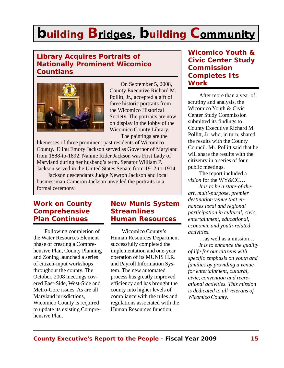### **Library Acquires Portraits of Nationally Prominent Wicomico Countians**



On September 5, 2008, County Executive Richard M. Pollitt, Jr., accepted a gift of three historic portraits from the Wicomico Historical Society. The portraits are now on display in the lobby of the Wicomico County Library. The paintings are the

likenesses of three prominent past residents of Wicomico County. Elihu Emory Jackson served as Governor of Maryland from 1888-to-1892. Nannie Rider Jackson was First Lady of Maryland during her husband's term. Senator William P. Jackson served in the United States Senate from 1912-to-1914.

Jackson descendants Judge Newton Jackson and local businessman Cameron Jackson unveiled the portraits in a formal ceremony.

#### **Work on County Comprehensive Plan Continues**

Following completion of the Water Resources Element phase of creating a Comprehensive Plan, County Planning and Zoning launched a series of citizen-input workshops throughout the county. The October, 2008 meetings covered East-Side, West-Side and Metro-Core issues. As are all Maryland jurisdictions, Wicomico County is required to update its existing Comprehensive Plan.

#### **New Munis System Streamlines Human Resources**

Wicomico County's Human Resources Department successfully completed the implementation and one-year operation of its MUNIS H.R. and Payroll Information System. The new automated process has greatly improved efficiency and has brought the county into higher levels of compliance with the rules and regulations associated with the Human Resources function.

### **Wicomico Youth & Civic Center Study Commission Completes Its Work**

After more than a year of scrutiny and analysis, the Wicomico Youth & Civic Center Study Commission submitted its findings to County Executive Richard M. Pollitt, Jr. who, in turn, shared the results with the County Council. Mr. Pollitt said that he will share the results with the citizenry in a series of four public meetings.

The report included a *vision* for the WY&CC…

*It is to be a state-of-theart, multi-purpose, premier destination venue that enhances local and regional participation in cultural, civic, entertainment, educational, economic and youth-related activities*.

…as well as a mission…

*It is to enhance the quality of life for our citizens with specific emphasis on youth and families by providing a venue for entertainment, cultural, civic, convention and recreational activities. This mission is dedicated to all veterans of Wicomico County*.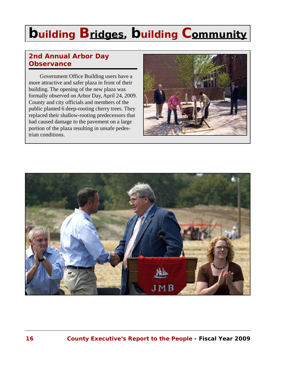### **2nd Annual Arbor Day Observance**

Government Office Building users have a more attractive and safer plaza in front of their building. The opening of the new plaza was formally observed on Arbor Day, April 24, 2009. County and city officials and members of the public planted 6 deep-rooting cherry trees. They replaced their shallow-rooting predecessors that had caused damage to the pavement on a large portion of the plaza resulting in unsafe pedestrian conditions.



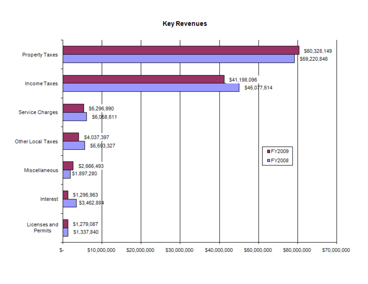#### **Key Revenues**

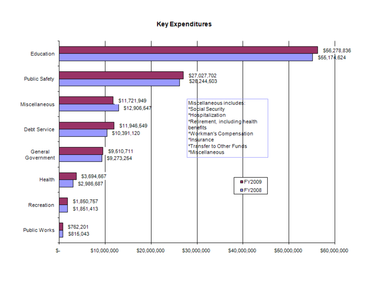#### **Key Expenditures**

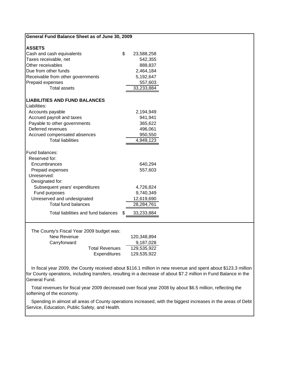| General Fund Balance Sheet as of June 30, 2009                                                    |                                                                                                                                                                                                                                                   |
|---------------------------------------------------------------------------------------------------|---------------------------------------------------------------------------------------------------------------------------------------------------------------------------------------------------------------------------------------------------|
| <b>ASSETS</b>                                                                                     |                                                                                                                                                                                                                                                   |
| \$<br>Cash and cash equivalents                                                                   | 23,588,258                                                                                                                                                                                                                                        |
| Taxes receivable, net                                                                             | 542,355                                                                                                                                                                                                                                           |
| Other receivables                                                                                 | 888,837                                                                                                                                                                                                                                           |
| Due from other funds                                                                              | 2,464,184                                                                                                                                                                                                                                         |
| Receivable from other governments                                                                 | 5,192,647                                                                                                                                                                                                                                         |
| Prepaid expenses                                                                                  | 557,603                                                                                                                                                                                                                                           |
| <b>Total assets</b>                                                                               | 33,233,884                                                                                                                                                                                                                                        |
| <b>LIABILITIES AND FUND BALANCES</b><br>Liabilities:                                              |                                                                                                                                                                                                                                                   |
| Accounts payable                                                                                  | 2,194,949                                                                                                                                                                                                                                         |
| Accrued payroll and taxes                                                                         | 941,941                                                                                                                                                                                                                                           |
| Payable to other governments                                                                      | 365,622                                                                                                                                                                                                                                           |
| Deferred revenues                                                                                 | 496,061                                                                                                                                                                                                                                           |
| Accrued compensated absences                                                                      | 950,550                                                                                                                                                                                                                                           |
| <b>Total liabilities</b>                                                                          | 4,949,123                                                                                                                                                                                                                                         |
| Fund balances:<br>Reserved for:<br>Encumbrances<br>Prepaid expenses                               | 640,294<br>557,603                                                                                                                                                                                                                                |
| Unreserved:<br>Designated for:                                                                    |                                                                                                                                                                                                                                                   |
| Subsequent years' expenditures                                                                    | 4,726,824                                                                                                                                                                                                                                         |
| Fund purposes                                                                                     | 9,740,349                                                                                                                                                                                                                                         |
| Unreserved and undesignated                                                                       | 12,619,690                                                                                                                                                                                                                                        |
| <b>Total fund balances</b>                                                                        | 28,284,761                                                                                                                                                                                                                                        |
| Total liabilities and fund balances<br>\$                                                         | 33,233,884                                                                                                                                                                                                                                        |
| The County's Fiscal Year 2009 budget was:<br>New Revenue<br>Carryforward<br><b>Total Revenues</b> | 120,348,894<br>9,187,028<br>129,535,922                                                                                                                                                                                                           |
| Expenditures                                                                                      | 129,535,922<br>In fiscal year 2009, the County received about \$116.1 million in new revenue and spent about \$123.3 million<br>for County operations, including transfers, resulting in a decrease of about \$7.2 million in Fund Balance in the |
| General Fund.                                                                                     |                                                                                                                                                                                                                                                   |

 Total revenues for fiscal year 2009 decreased over fiscal year 2008 by about \$6.5 million, reflecting the softening of the economy.

 Spending in almost all areas of County operations increased, with the biggest increases in the areas of Debt Service, Education, Public Safety, and Health.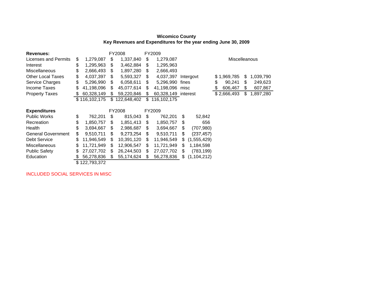#### **Wicomico County Key Revenues and Expenditures for the year ending June 30, 2009**

| <b>Revenues:</b>          | FY2008 |               | FY2009 |             |        |             |       |               |                      |    |           |
|---------------------------|--------|---------------|--------|-------------|--------|-------------|-------|---------------|----------------------|----|-----------|
| Licenses and Permits      | \$     | 1,279,087     | \$     | 1,337,840   | \$     | 1,279,087   |       |               | <b>Miscelleanous</b> |    |           |
| Interest                  | \$     | 1,295,963     | S.     | 3,462,884   | S      | 1,295,963   |       |               |                      |    |           |
| <b>Miscellaneous</b>      | \$     | 2,666,493     | S.     | 1,897,280   | \$     | 2,666,493   |       |               |                      |    |           |
| <b>Other Local Taxes</b>  | \$     | 4,037,397     | \$     | 5,593,327   | \$     | 4,037,397   |       | Intergovt     | \$1,969,785          | S  | 1,039,790 |
| Service Charges           | \$     | 5,296,990     | S.     | 6,058,611   | \$.    | 5,296,990   | fines |               | \$<br>90,241         | S  | 249,623   |
| Income Taxes              | \$     | 41,198,096    | \$.    | 45,077,614  | \$.    | 41.198.096  | misc  |               | \$<br>606,467        | S  | 607,867   |
| <b>Property Taxes</b>     | \$     | 60,328,149    | \$     | 59,220,846  | S      | 60,328,149  |       | interest      | \$2,666,493          | \$ | 1,897,280 |
|                           |        | \$116,102,175 | \$     | 122,648,402 | \$     | 116,102,175 |       |               |                      |    |           |
|                           |        |               |        |             |        |             |       |               |                      |    |           |
|                           |        |               | FY2008 |             | FY2009 |             |       |               |                      |    |           |
| <b>Expenditures</b>       |        |               |        |             |        |             |       |               |                      |    |           |
| <b>Public Works</b>       | \$     | 762,201       | \$     | 815,043     | \$     | 762,201     | \$    | 52,842        |                      |    |           |
| Recreation                | \$     | 1,850,757     | \$.    | 1,851,413   | S      | 1,850,757   | S     | 656           |                      |    |           |
| Health                    | \$     | 3,694,667     | \$     | 2,986,687   | \$     | 3,694,667   | \$    | (707, 980)    |                      |    |           |
| <b>General Government</b> | \$     | 9,510,711     | \$.    | 9,273,254   | \$     | 9,510,711   | \$    | (237, 457)    |                      |    |           |
| Debt Service              | \$     | 11,946,549    | \$.    | 10,391,120  | S      | 11,946,549  | S     | (1,555,429)   |                      |    |           |
| <b>Miscellaneous</b>      | \$     | 11,721,949    | S      | 12,906,547  | \$     | 11,721,949  | S     | 1,184,598     |                      |    |           |
| <b>Public Safety</b>      | \$     | 27,027,702    | \$.    | 26,244,503  | \$     | 27,027,702  | S     | (783, 199)    |                      |    |           |
| Education                 |        | 56,278,836    |        | 55,174,624  | S      | 56,278,836  | S     | (1, 104, 212) |                      |    |           |

INCLUDED SOCIAL SERVICES IN MISC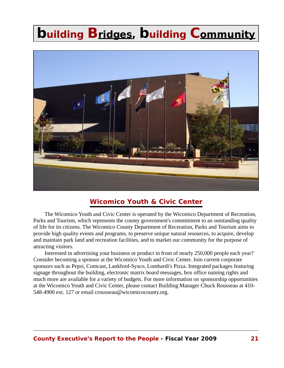

#### **Wicomico Youth & Civic Center**

The Wicomico Youth and Civic Center is operated by the Wicomico Department of Recreation, Parks and Tourism, which represents the county government's commitment to an outstanding quality of life for its citizens. The Wicomico County Department of Recreation, Parks and Tourism aims to provide high quality events and programs, to preserve unique natural resources, to acquire, develop and maintain park land and recreation facilities, and to market our community for the purpose of attracting visitors.

Interested in advertising your business or product in front of nearly 250,000 people each year? Consider becoming a sponsor at the Wicomico Youth and Civic Center. Join current corporate sponsors such as Pepsi, Comcast, Lankford-Sysco, Lombardi's Pizza. Integrated packages featuring signage throughout the building, electronic matrix board messages, box office naming rights and much more are available for a variety of budgets. For more information on sponsorship opportunities at the Wicomico Youth and Civic Center, please contact Building Manager Chuck Rousseau at 410- 548-4900 ext. 127 or email crousseau@wicomicocounty.org.